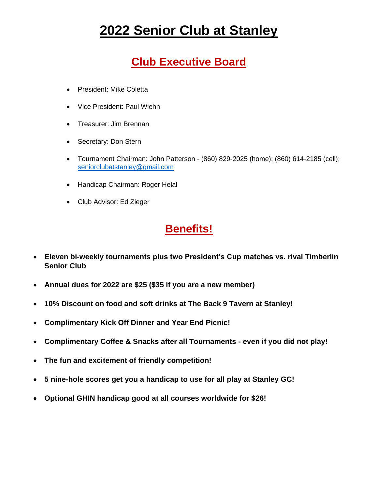### **Club Executive Board**

- President: Mike Coletta
- Vice President: Paul Wiehn
- Treasurer: Jim Brennan
- Secretary: Don Stern
- Tournament Chairman: John Patterson (860) 829-2025 (home); (860) 614-2185 (cell); [seniorclubatstanley@gmail.com](mailto:seniorclubatstanley@gmail.com)
- Handicap Chairman: Roger Helal
- Club Advisor: Ed Zieger

### **Benefits!**

- **Eleven bi-weekly tournaments plus two President's Cup matches vs. rival Timberlin Senior Club**
- **Annual dues for 2022 are \$25 (\$35 if you are a new member)**
- **10% Discount on food and soft drinks at The Back 9 Tavern at Stanley!**
- **Complimentary Kick Off Dinner and Year End Picnic!**
- **Complimentary Coffee & Snacks after all Tournaments - even if you did not play!**
- **The fun and excitement of friendly competition!**
- **5 nine-hole scores get you a handicap to use for all play at Stanley GC!**
- **Optional GHIN handicap good at all courses worldwide for \$26!**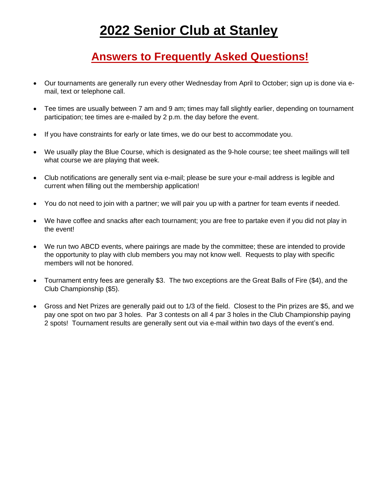#### **Answers to Frequently Asked Questions!**

- Our tournaments are generally run every other Wednesday from April to October; sign up is done via email, text or telephone call.
- Tee times are usually between 7 am and 9 am; times may fall slightly earlier, depending on tournament participation; tee times are e-mailed by 2 p.m. the day before the event.
- If you have constraints for early or late times, we do our best to accommodate you.
- We usually play the Blue Course, which is designated as the 9-hole course; tee sheet mailings will tell what course we are playing that week.
- Club notifications are generally sent via e-mail; please be sure your e-mail address is legible and current when filling out the membership application!
- You do not need to join with a partner; we will pair you up with a partner for team events if needed.
- We have coffee and snacks after each tournament; you are free to partake even if you did not play in the event!
- We run two ABCD events, where pairings are made by the committee; these are intended to provide the opportunity to play with club members you may not know well. Requests to play with specific members will not be honored.
- Tournament entry fees are generally \$3. The two exceptions are the Great Balls of Fire (\$4), and the Club Championship (\$5).
- Gross and Net Prizes are generally paid out to 1/3 of the field. Closest to the Pin prizes are \$5, and we pay one spot on two par 3 holes. Par 3 contests on all 4 par 3 holes in the Club Championship paying 2 spots! Tournament results are generally sent out via e-mail within two days of the event's end.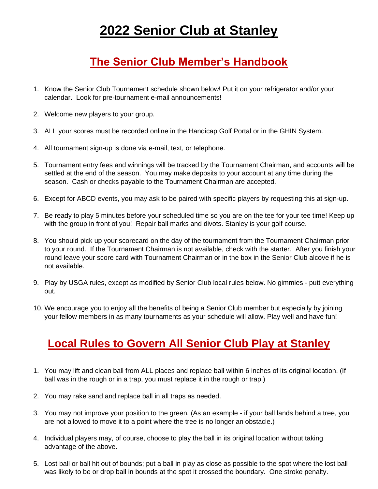### **The Senior Club Member's Handbook**

- 1. Know the Senior Club Tournament schedule shown below! Put it on your refrigerator and/or your calendar. Look for pre-tournament e-mail announcements!
- 2. Welcome new players to your group.
- 3. ALL your scores must be recorded online in the Handicap Golf Portal or in the GHIN System.
- 4. All tournament sign-up is done via e-mail, text, or telephone.
- 5. Tournament entry fees and winnings will be tracked by the Tournament Chairman, and accounts will be settled at the end of the season. You may make deposits to your account at any time during the season. Cash or checks payable to the Tournament Chairman are accepted.
- 6. Except for ABCD events, you may ask to be paired with specific players by requesting this at sign-up.
- 7. Be ready to play 5 minutes before your scheduled time so you are on the tee for your tee time! Keep up with the group in front of you! Repair ball marks and divots. Stanley is your golf course.
- 8. You should pick up your scorecard on the day of the tournament from the Tournament Chairman prior to your round. If the Tournament Chairman is not available, check with the starter. After you finish your round leave your score card with Tournament Chairman or in the box in the Senior Club alcove if he is not available.
- 9. Play by USGA rules, except as modified by Senior Club local rules below. No gimmies putt everything out.
- 10. We encourage you to enjoy all the benefits of being a Senior Club member but especially by joining your fellow members in as many tournaments as your schedule will allow. Play well and have fun!

### **Local Rules to Govern All Senior Club Play at Stanley**

- 1. You may lift and clean ball from ALL places and replace ball within 6 inches of its original location. (If ball was in the rough or in a trap, you must replace it in the rough or trap.)
- 2. You may rake sand and replace ball in all traps as needed.
- 3. You may not improve your position to the green. (As an example if your ball lands behind a tree, you are not allowed to move it to a point where the tree is no longer an obstacle.)
- 4. Individual players may, of course, choose to play the ball in its original location without taking advantage of the above.
- 5. Lost ball or ball hit out of bounds; put a ball in play as close as possible to the spot where the lost ball was likely to be or drop ball in bounds at the spot it crossed the boundary. One stroke penalty.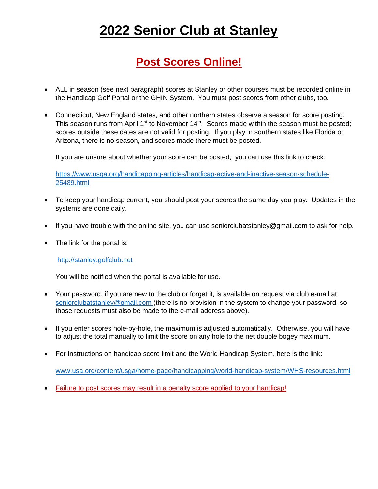#### **Post Scores Online!**

- ALL in season (see next paragraph) scores at Stanley or other courses must be recorded online in the Handicap Golf Portal or the GHIN System. You must post scores from other clubs, too.
- Connecticut, New England states, and other northern states observe a season for score posting. This season runs from April  $1<sup>st</sup>$  to November  $14<sup>th</sup>$ . Scores made within the season must be posted; scores outside these dates are not valid for posting. If you play in southern states like Florida or Arizona, there is no season, and scores made there must be posted.

If you are unsure about whether your score can be posted, you can use this link to check:

[https://www.usga.org/handicapping-articles/handicap-active-and-inactive-season-schedule-](https://www.usga.org/handicapping-articles/handicap-active-and-inactive-season-schedule-25489.html)[25489.html](https://www.usga.org/handicapping-articles/handicap-active-and-inactive-season-schedule-25489.html)

- To keep your handicap current, you should post your scores the same day you play. Updates in the systems are done daily.
- If you have trouble with the online site, you can use seniorclubatstanley@gmail.com to ask for help.
- The link for the portal is:

#### [http://stanley.golfclub.net](http://stanley.golfclub.net/)

You will be notified when the portal is available for use.

- Your password, if you are new to the club or forget it, is available on request via club e-mail at [seniorclubatstanley@gmail.com](mailto:seniorclubatstanley@gmail.com) (there is no provision in the system to change your password, so those requests must also be made to the e-mail address above).
- If you enter scores hole-by-hole, the maximum is adjusted automatically. Otherwise, you will have to adjust the total manually to limit the score on any hole to the net double bogey maximum.
- For Instructions on handicap score limit and the World Handicap System, here is the link:

[www.usa.org/content/usga/home-page/handicapping/world-handicap-system/WHS-resources.html](http://www.usa.org/content/usga/home-page/handicapping/world-handicap-system/WHS-resources.html)

• Failure to post scores may result in a penalty score applied to your handicap!